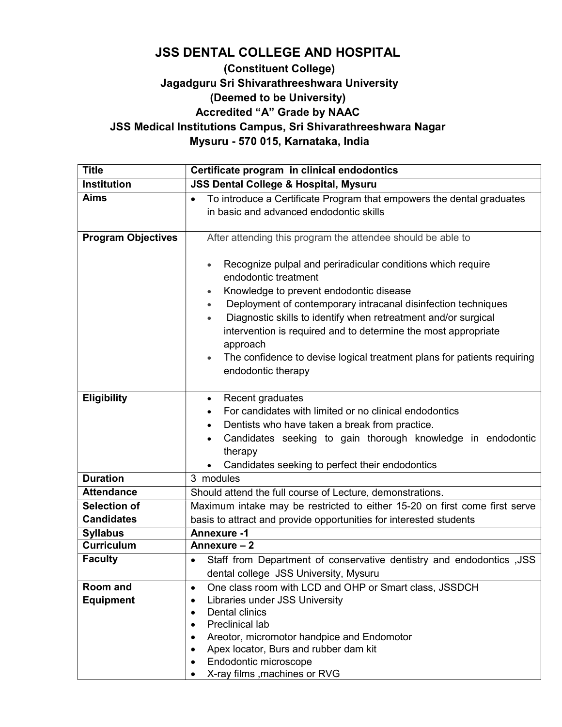# JSS DENTAL COLLEGE AND HOSPITAL

## (Constituent College) Jagadguru Sri Shivarathreeshwara University (Deemed to be University) Accredited "A" Grade by NAAC JSS Medical Institutions Campus, Sri Shivarathreeshwara Nagar

Mysuru - 570 015, Karnataka, India

| <b>Title</b>                             | Certificate program in clinical endodontics                                                                                                                                                                                                                                                                                                                                                                                                                                                          |  |  |
|------------------------------------------|------------------------------------------------------------------------------------------------------------------------------------------------------------------------------------------------------------------------------------------------------------------------------------------------------------------------------------------------------------------------------------------------------------------------------------------------------------------------------------------------------|--|--|
| <b>Institution</b>                       | <b>JSS Dental College &amp; Hospital, Mysuru</b>                                                                                                                                                                                                                                                                                                                                                                                                                                                     |  |  |
| <b>Aims</b>                              | To introduce a Certificate Program that empowers the dental graduates<br>$\bullet$<br>in basic and advanced endodontic skills                                                                                                                                                                                                                                                                                                                                                                        |  |  |
| <b>Program Objectives</b>                | After attending this program the attendee should be able to                                                                                                                                                                                                                                                                                                                                                                                                                                          |  |  |
|                                          | Recognize pulpal and periradicular conditions which require<br>$\bullet$<br>endodontic treatment<br>Knowledge to prevent endodontic disease<br>Deployment of contemporary intracanal disinfection techniques<br>$\bullet$<br>Diagnostic skills to identify when retreatment and/or surgical<br>$\bullet$<br>intervention is required and to determine the most appropriate<br>approach<br>The confidence to devise logical treatment plans for patients requiring<br>$\bullet$<br>endodontic therapy |  |  |
| <b>Eligibility</b>                       | Recent graduates<br>$\bullet$<br>For candidates with limited or no clinical endodontics<br>Dentists who have taken a break from practice.<br>Candidates seeking to gain thorough knowledge in endodontic<br>$\bullet$<br>therapy<br>Candidates seeking to perfect their endodontics                                                                                                                                                                                                                  |  |  |
| <b>Duration</b>                          | 3 modules                                                                                                                                                                                                                                                                                                                                                                                                                                                                                            |  |  |
| <b>Attendance</b>                        | Should attend the full course of Lecture, demonstrations.                                                                                                                                                                                                                                                                                                                                                                                                                                            |  |  |
| <b>Selection of</b><br><b>Candidates</b> | Maximum intake may be restricted to either 15-20 on first come first serve<br>basis to attract and provide opportunities for interested students                                                                                                                                                                                                                                                                                                                                                     |  |  |
| <b>Syllabus</b>                          | <b>Annexure -1</b>                                                                                                                                                                                                                                                                                                                                                                                                                                                                                   |  |  |
| <b>Curriculum</b>                        | Annexure - 2                                                                                                                                                                                                                                                                                                                                                                                                                                                                                         |  |  |
| <b>Faculty</b>                           | Staff from Department of conservative dentistry and endodontics, JSS<br>$\bullet$<br>dental college JSS University, Mysuru                                                                                                                                                                                                                                                                                                                                                                           |  |  |
| Room and<br><b>Equipment</b>             | One class room with LCD and OHP or Smart class, JSSDCH<br>$\bullet$<br>Libraries under JSS University<br>$\bullet$<br><b>Dental clinics</b><br>$\bullet$<br><b>Preclinical lab</b><br>$\bullet$<br>Areotor, micromotor handpice and Endomotor<br>Apex locator, Burs and rubber dam kit<br>Endodontic microscope<br>X-ray films , machines or RVG                                                                                                                                                     |  |  |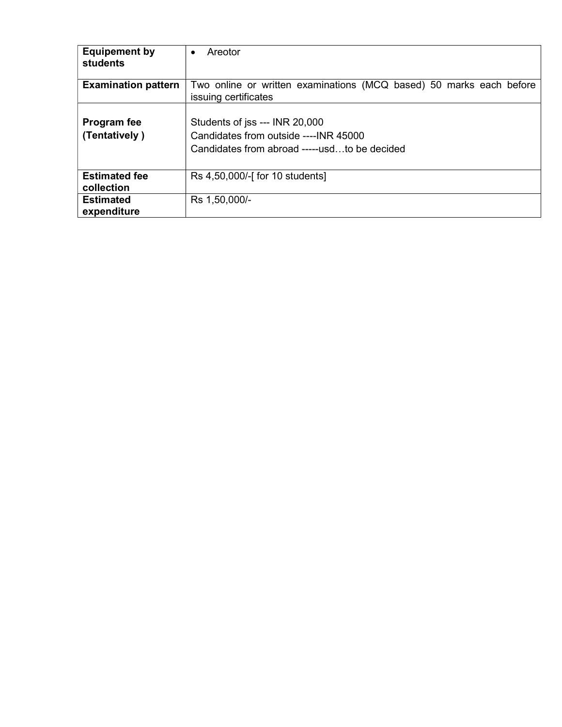| <b>Equipement by</b><br>students | Areotor<br>$\bullet$                                                                        |  |  |
|----------------------------------|---------------------------------------------------------------------------------------------|--|--|
| <b>Examination pattern</b>       | Two online or written examinations (MCQ based) 50 marks each before<br>issuing certificates |  |  |
|                                  |                                                                                             |  |  |
| Program fee                      | Students of jss --- INR 20,000                                                              |  |  |
| (Tentatively)                    | Candidates from outside ---- INR 45000                                                      |  |  |
|                                  | Candidates from abroad -----usdto be decided                                                |  |  |
|                                  |                                                                                             |  |  |
| <b>Estimated fee</b>             | Rs 4,50,000/-[ for 10 students]                                                             |  |  |
| collection                       |                                                                                             |  |  |
| <b>Estimated</b>                 | Rs 1,50,000/-                                                                               |  |  |
| expenditure                      |                                                                                             |  |  |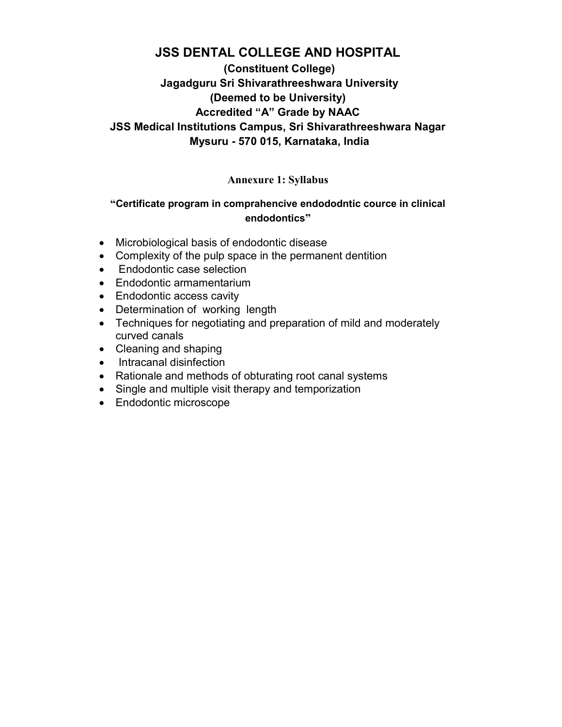# JSS DENTAL COLLEGE AND HOSPITAL

## (Constituent College) Jagadguru Sri Shivarathreeshwara University (Deemed to be University) Accredited "A" Grade by NAAC JSS Medical Institutions Campus, Sri Shivarathreeshwara Nagar Mysuru - 570 015, Karnataka, India

### Annexure 1: Syllabus

### "Certificate program in comprahencive endododntic cource in clinical endodontics"

- Microbiological basis of endodontic disease
- Complexity of the pulp space in the permanent dentition
- Endodontic case selection
- Endodontic armamentarium
- Endodontic access cavity
- Determination of working length
- Techniques for negotiating and preparation of mild and moderately curved canals
- Cleaning and shaping
- Intracanal disinfection
- Rationale and methods of obturating root canal systems
- Single and multiple visit therapy and temporization
- Endodontic microscope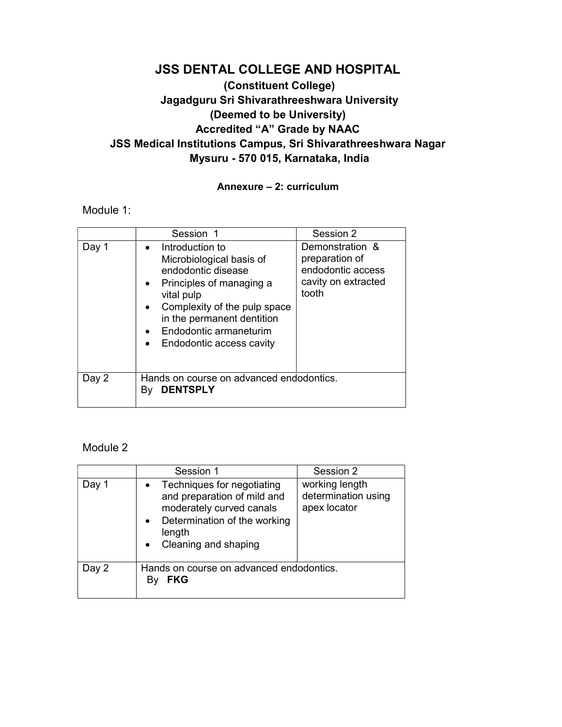## JSS DENTAL COLLEGE AND HOSPITAL (Constituent College) Jagadguru Sri Shivarathreeshwara University (Deemed to be University) Accredited "A" Grade by NAAC JSS Medical Institutions Campus, Sri Shivarathreeshwara Nagar Mysuru - 570 015, Karnataka, India

#### Annexure – 2: curriculum

Module 1:

|       | Session 1                                                                                                                                                                                                                                    | Session 2                                                                              |  |
|-------|----------------------------------------------------------------------------------------------------------------------------------------------------------------------------------------------------------------------------------------------|----------------------------------------------------------------------------------------|--|
| Day 1 | Introduction to<br>Microbiological basis of<br>endodontic disease<br>Principles of managing a<br>vital pulp<br>Complexity of the pulp space<br>in the permanent dentition<br>Endodontic armaneturim<br>Endodontic access cavity<br>$\bullet$ | Demonstration &<br>preparation of<br>endodontic access<br>cavity on extracted<br>tooth |  |
| Day 2 | Hands on course on advanced endodontics.<br><b>DENTSPLY</b><br>Bv                                                                                                                                                                            |                                                                                        |  |

#### Module 2

|       | Session 1                                                                                                                                               | Session 2                                             |  |
|-------|---------------------------------------------------------------------------------------------------------------------------------------------------------|-------------------------------------------------------|--|
| Day 1 | Techniques for negotiating<br>and preparation of mild and<br>moderately curved canals<br>Determination of the working<br>length<br>Cleaning and shaping | working length<br>determination using<br>apex locator |  |
| Day 2 | Hands on course on advanced endodontics.<br><b>FKG</b>                                                                                                  |                                                       |  |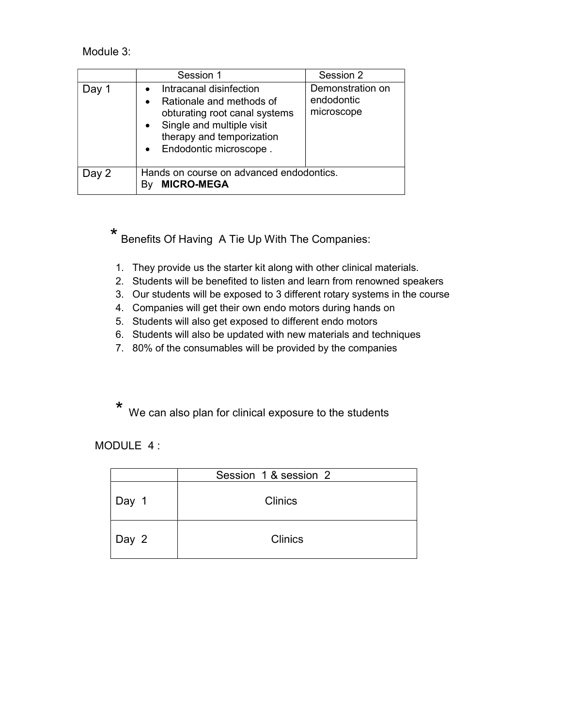Module 3:

|       | Session 1                                                                                                                                                                  | Session 2                                    |  |  |
|-------|----------------------------------------------------------------------------------------------------------------------------------------------------------------------------|----------------------------------------------|--|--|
| Dav ' | Intracanal disinfection<br>Rationale and methods of<br>obturating root canal systems<br>Single and multiple visit<br>therapy and temporization<br>• Endodontic microscope. | Demonstration on<br>endodontic<br>microscope |  |  |
| Day 2 | Hands on course on advanced endodontics.<br><b>MICRO-MEGA</b>                                                                                                              |                                              |  |  |

 \* Benefits Of Having A Tie Up With The Companies:

- 1. They provide us the starter kit along with other clinical materials.
- 2. Students will be benefited to listen and learn from renowned speakers
- 3. Our students will be exposed to 3 different rotary systems in the course
- 4. Companies will get their own endo motors during hands on
- 5. Students will also get exposed to different endo motors
- 6. Students will also be updated with new materials and techniques
- 7. 80% of the consumables will be provided by the companies

\* We can also plan for clinical exposure to the students

MODULE 4 :

|       | Session 1 & session 2 |
|-------|-----------------------|
| Day 1 | <b>Clinics</b>        |
| Day 2 | <b>Clinics</b>        |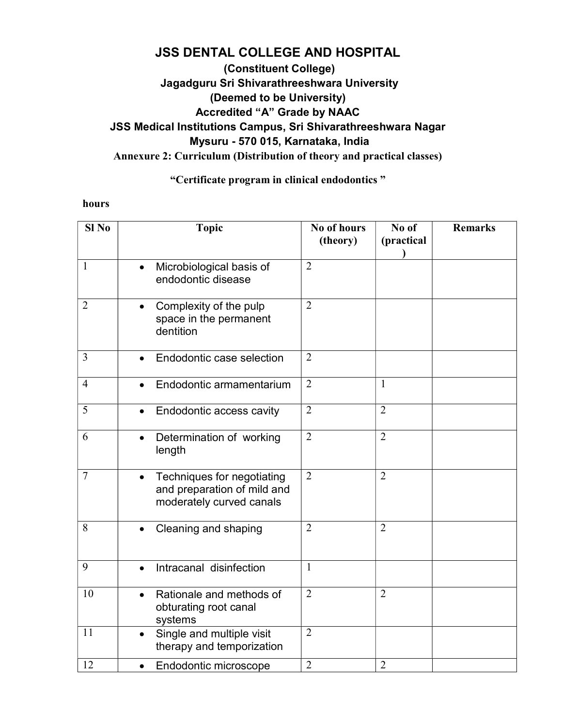# JSS DENTAL COLLEGE AND HOSPITAL

## (Constituent College) Jagadguru Sri Shivarathreeshwara University (Deemed to be University) Accredited "A" Grade by NAAC JSS Medical Institutions Campus, Sri Shivarathreeshwara Nagar Mysuru - 570 015, Karnataka, India Annexure 2: Curriculum (Distribution of theory and practical classes)

### "Certificate program in clinical endodontics "

#### hours

| Sl <sub>No</sub> | <b>Topic</b>                                                                                       | No of hours<br>(theory) | No of<br>(practical | <b>Remarks</b> |
|------------------|----------------------------------------------------------------------------------------------------|-------------------------|---------------------|----------------|
| $\mathbf{1}$     | Microbiological basis of<br>endodontic disease                                                     | $\overline{2}$          |                     |                |
| $\overline{2}$   | Complexity of the pulp<br>$\bullet$<br>space in the permanent<br>dentition                         | $\overline{2}$          |                     |                |
| $\overline{3}$   | Endodontic case selection                                                                          | $\overline{2}$          |                     |                |
| $\overline{4}$   | Endodontic armamentarium                                                                           | $\overline{2}$          | $\mathbf{1}$        |                |
| 5                | Endodontic access cavity                                                                           | $\overline{2}$          | $\overline{2}$      |                |
| 6                | Determination of working<br>$\bullet$<br>length                                                    | $\overline{2}$          | $\overline{2}$      |                |
| $\overline{7}$   | Techniques for negotiating<br>$\bullet$<br>and preparation of mild and<br>moderately curved canals | $\overline{2}$          | $\overline{2}$      |                |
| 8                | Cleaning and shaping                                                                               | $\overline{2}$          | $\overline{2}$      |                |
| 9                | Intracanal disinfection<br>$\bullet$                                                               | $\mathbf{1}$            |                     |                |
| 10               | Rationale and methods of<br>obturating root canal<br>systems                                       | $\overline{2}$          | $\overline{2}$      |                |
| 11               | Single and multiple visit<br>$\bullet$<br>therapy and temporization                                | $\overline{2}$          |                     |                |
| 12               | Endodontic microscope                                                                              | $\overline{2}$          | $\overline{2}$      |                |